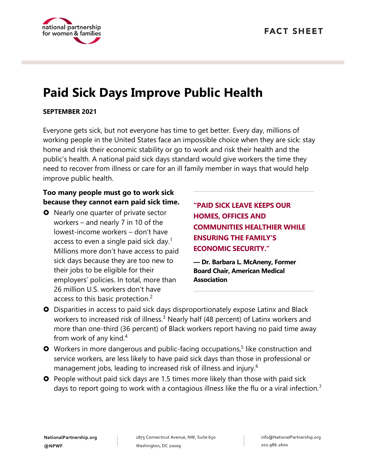

# **Paid Sick Days Improve Public Health**

#### **SEPTEMBER 2021**

Everyone gets sick, but not everyone has time to get better. Every day, millions of working people in the United States face an impossible choice when they are sick: stay home and risk their economic stability or go to work and risk their health and the public's health. A national paid sick days standard would give workers the time they need to recover from illness or care for an ill family member in ways that would help improve public health.

### **Too many people must go to work sick because they cannot earn paid sick time.**

**O** Nearly one quarter of private sector workers – and nearly 7 in 10 of the lowest-income workers – don't have access to even a single paid sick day.<sup>1</sup> Millions more don't have access to paid sick days because they are too new to their jobs to be eligible for their employers' policies. In total, more than 26 million U.S. workers don't have access to this basic protection.<sup>2</sup>

**"PAID SICK LEAVE KEEPS OUR HOMES, OFFICES AND COMMUNITIES HEALTHIER WHILE ENSURING THE FAMILY'S ECONOMIC SECURITY."**

**— Dr. Barbara L. McAneny, Former Board Chair, American Medical Association**

- Disparities in access to paid sick days disproportionately expose Latinx and Black workers to increased risk of illness.<sup>3</sup> Nearly half (48 percent) of Latinx workers and more than one-third (36 percent) of Black workers report having no paid time away from work of any kind.<sup>4</sup>
- O Workers in more dangerous and public-facing occupations,<sup>5</sup> like construction and service workers, are less likely to have paid sick days than those in professional or management jobs, leading to increased risk of illness and injury.<sup>6</sup>
- **O** People without paid sick days are 1.5 times more likely than those with paid sick days to report going to work with a contagious illness like the flu or a viral infection.<sup> $\prime$ </sup>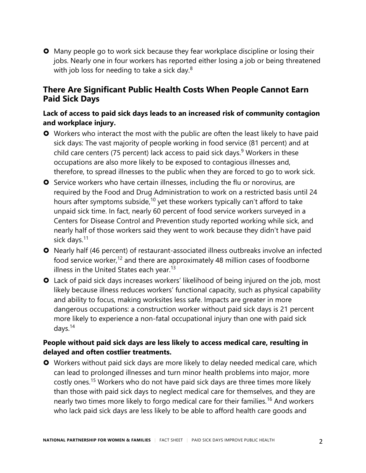**O** Many people go to work sick because they fear workplace discipline or losing their jobs. Nearly one in four workers has reported either losing a job or being threatened with job loss for needing to take a sick day. $8$ 

# **There Are Significant Public Health Costs When People Cannot Earn Paid Sick Days**

### **Lack of access to paid sick days leads to an increased risk of community contagion and workplace injury.**

- **O** Workers who interact the most with the public are often the least likely to have paid sick days: The vast majority of people working in food service (81 percent) and at child care centers (75 percent) lack access to paid sick days.<sup>9</sup> Workers in these occupations are also more likely to be exposed to contagious illnesses and, therefore, to spread illnesses to the public when they are forced to go to work sick.
- **O** Service workers who have certain illnesses, including the flu or norovirus, are required by the Food and Drug Administration to work on a restricted basis until 24 hours after symptoms subside,<sup>10</sup> yet these workers typically can't afford to take unpaid sick time. In fact, nearly 60 percent of food service workers surveyed in a Centers for Disease Control and Prevention study reported working while sick, and nearly half of those workers said they went to work because they didn't have paid sick days.<sup>11</sup>
- Nearly half (46 percent) of restaurant-associated illness outbreaks involve an infected food service worker,<sup>12</sup> and there are approximately 48 million cases of foodborne illness in the United States each year.<sup>13</sup>
- Lack of paid sick days increases workers' likelihood of being injured on the job, most likely because illness reduces workers' functional capacity, such as physical capability and ability to focus, making worksites less safe. Impacts are greater in more dangerous occupations: a construction worker without paid sick days is 21 percent more likely to experience a non-fatal occupational injury than one with paid sick days. 14

### **People without paid sick days are less likely to access medical care, resulting in delayed and often costlier treatments.**

 Workers without paid sick days are more likely to delay needed medical care, which can lead to prolonged illnesses and turn minor health problems into major, more costly ones.<sup>15</sup> Workers who do not have paid sick days are three times more likely than those with paid sick days to neglect medical care for themselves, and they are nearly two times more likely to forgo medical care for their families.<sup>16</sup> And workers who lack paid sick days are less likely to be able to afford health care goods and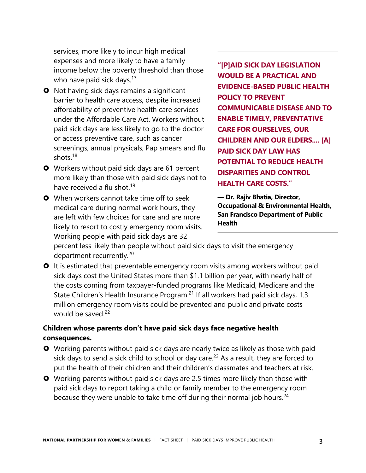services, more likely to incur high medical expenses and more likely to have a family income below the poverty threshold than those who have paid sick days. $17$ 

- **O** Not having sick days remains a significant barrier to health care access, despite increased affordability of preventive health care services under the Affordable Care Act. Workers without paid sick days are less likely to go to the doctor or access preventive care, such as cancer screenings, annual physicals, Pap smears and flu shots.<sup>18</sup>
- **O** Workers without paid sick days are 61 percent more likely than those with paid sick days not to have received a flu shot.<sup>19</sup>
- **O** When workers cannot take time off to seek medical care during normal work hours, they are left with few choices for care and are more likely to resort to costly emergency room visits. Working people with paid sick days are 32

**"[P]AID SICK DAY LEGISLATION WOULD BE A PRACTICAL AND EVIDENCE-BASED PUBLIC HEALTH POLICY TO PREVENT COMMUNICABLE DISEASE AND TO ENABLE TIMELY, PREVENTATIVE CARE FOR OURSELVES, OUR CHILDREN AND OUR ELDERS.... [A] PAID SICK DAY LAW HAS POTENTIAL TO REDUCE HEALTH DISPARITIES AND CONTROL HEALTH CARE COSTS."**

**— Dr. Rajiv Bhatia, Director, Occupational & Environmental Health, San Francisco Department of Public Health**

percent less likely than people without paid sick days to visit the emergency department recurrently.<sup>20</sup>

**O** It is estimated that preventable emergency room visits among workers without paid sick days cost the United States more than \$1.1 billion per year, with nearly half of the costs coming from taxpayer-funded programs like Medicaid, Medicare and the State Children's Health Insurance Program.<sup>21</sup> If all workers had paid sick days, 1.3 million emergency room visits could be prevented and public and private costs would be saved  $^{22}$ 

#### **Children whose parents don't have paid sick days face negative health consequences.**

- Working parents without paid sick days are nearly twice as likely as those with paid sick days to send a sick child to school or day care.<sup>23</sup> As a result, they are forced to put the health of their children and their children's classmates and teachers at risk.
- **O** Working parents without paid sick days are 2.5 times more likely than those with paid sick days to report taking a child or family member to the emergency room because they were unable to take time off during their normal job hours. $24$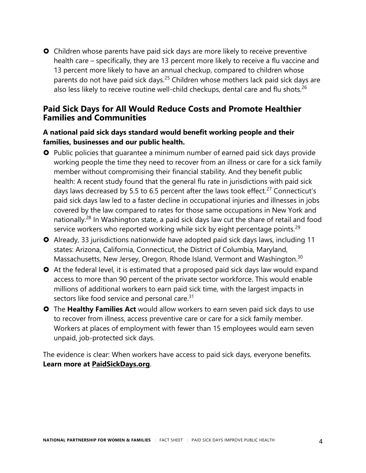**O** Children whose parents have paid sick days are more likely to receive preventive health care – specifically, they are 13 percent more likely to receive a flu vaccine and 13 percent more likely to have an annual checkup, compared to children whose parents do not have paid sick days.<sup>25</sup> Children whose mothers lack paid sick days are also less likely to receive routine well-child checkups, dental care and flu shots.<sup>26</sup>

# **Paid Sick Days for All Would Reduce Costs and Promote Healthier Families and Communities**

#### **A national paid sick days standard would benefit working people and their families, businesses and our public health.**

- **O** Public policies that quarantee a minimum number of earned paid sick days provide working people the time they need to recover from an illness or care for a sick family member without compromising their financial stability. And they benefit public health: A recent study found that the general flu rate in jurisdictions with paid sick days laws decreased by 5.5 to 6.5 percent after the laws took effect.<sup>27</sup> Connecticut's paid sick days law led to a faster decline in occupational injuries and illnesses in jobs covered by the law compared to rates for those same occupations in New York and nationally.<sup>28</sup> In Washington state, a paid sick days law cut the share of retail and food service workers who reported working while sick by eight percentage points.<sup>29</sup>
- Already, 33 jurisdictions nationwide have adopted paid sick days laws, including 11 states: Arizona, California, Connecticut, the District of Columbia, Maryland, Massachusetts, New Jersey, Oregon, Rhode Island, Vermont and Washington.<sup>30</sup>
- At the federal level, it is estimated that a proposed paid sick days law would expand access to more than 90 percent of the private sector workforce. This would enable millions of additional workers to earn paid sick time, with the largest impacts in sectors like food service and personal care.<sup>31</sup>
- The **Healthy Families Act** would allow workers to earn seven paid sick days to use to recover from illness, access preventive care or care for a sick family member. Workers at places of employment with fewer than 15 employees would earn seven unpaid, job-protected sick days.

The evidence is clear: When workers have access to paid sick days, everyone benefits. **Learn more at [PaidSickDays.org](http://www.paidsickdays.org/)**.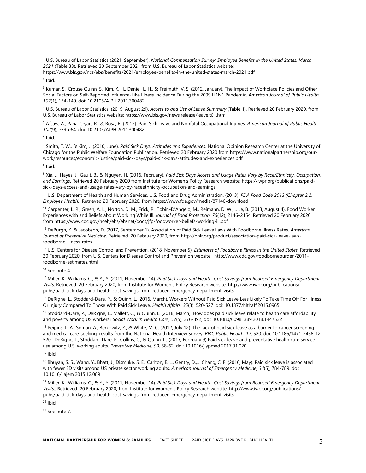<sup>3</sup> Kumar, S., Crouse Quinn, S., Kim, K. H., Daniel, L. H., & Freimuth, V. S. (2012, January). The Impact of Workplace Policies and Other Social Factors on Self-Reported Influenza-Like Illness Incidence During the 2009 H1N1 Pandemic. *American Journal of Public Health*, *102*(1), 134-140. doi: 10.2105/AJPH.2011.300482

<sup>4</sup> U.S. Bureau of Labor Statistics. (2019, August 29). *Access to and Use of Leave Summary* (Table 1). Retrieved 20 February 2020, from U.S. Bureau of Labor Statistics website: https://www.bls.gov/news.release/leave.t01.htm

<sup>5</sup> Afsaw, A., Pana-Cryan, R., & Rosa, R. (2012). Paid Sick Leave and Nonfatal Occupational Injuries. *American Journal of Public Health*, *102*(9), e59-e64. doi: 10.2105/AJPH.2011.300482

6 Ibid.

<sup>7</sup> Smith, T. W., & Kim, J. (2010, June). *Paid Sick Days: Attitudes and Experiences*. National Opinion Research Center at the University of Chicago for the Public Welfare Foundation Publication. Retrieved 20 February 2020 from https://www.nationalpartnership.org/ourwork/resources/economic-justice/paid-sick-days/paid-sick-days-attitudes-and-experiences.pdf

<sup>8</sup> Ibid.

<sup>9</sup> Xia, J., Hayes, J., Gault, B., & Nguyen, H. (2016, February). *Paid Sick Days Access and Usage Rates Vary by Race/Ethnicity, Occupation, and Earnings*. Retrieved 20 February 2020 from Institute for Women's Policy Research website: https://iwpr.org/publications/paidsick-days-access-and-usage-rates-vary-by-raceethnicity-occupation-and-earnings

<sup>10</sup> U.S. Department of Health and Human Services, U.S. Food and Drug Administration. (2013). *FDA Food Code 2013 (Chapter 2.2, Employee Health).* Retrieved 20 February 2020, from https://www.fda.gov/media/87140/download

<sup>11</sup> Carpenter, L. R., Green, A. L., Norton, D. M., Frick, R., Tobin-D'Angelo, M., Reimann, D. W.,… Le, B. (2013, August 4). Food Worker Experiences with and Beliefs about Working While Ill. *Journal of Food Protection*, *76*(12), 2146–2154. Retrieved 20 February 2020 from https://www.cdc.gov/nceh/ehs/ehsnet/docs/jfp-foodworker-beliefs-working-ill.pdf

<sup>12</sup> DeBurgh, K. & Jacobson, D. (2017, September 1). Association of Paid Sick Leave Laws With Foodborne Illness Rates. *American Journal of Preventive Medicine*. Retrieved 20 February 2020, from http://phlr.org/product/association-paid-sick-leave-lawsfoodborne-illness-rates

<sup>13</sup> U.S. Centers for Disease Control and Prevention. (2018, November 5). *Estimates of Foodborne Illness in the United States.* Retrieved 20 February 2020, from U.S. Centers for Disease Control and Prevention website: http://www.cdc.gov/foodborneburden/2011 foodborne-estimates.html

<sup>14</sup> See note 4.

<sup>15</sup> Miller, K., Williams, C., & Yi, Y. (2011, November 14). *Paid Sick Days and Health: Cost Savings from Reduced Emergency Department Visits*. Retrieved 20 February 2020, from Institute for Women's Policy Research website: http://www.iwpr.org/publications/ pubs/paid-sick-days-and-health-cost-savings-from-reduced-emergency-department-visits

<sup>16</sup> DeRigne, L., Stoddard-Dare, P., & Quinn, L. (2016, March). Workers Without Paid Sick Leave Less Likely To Take Time Off For Illness Or Injury Compared To Those With Paid Sick Leave. *Health Affairs, 35*(3), 520-527. doi: 10.1377/hlthaff.2015.0965

<sup>17</sup> Stoddard-Dare, P., DeRigne, L., Mallett, C., & Quinn, L. (2018, March). How does paid sick leave relate to health care affordability and poverty among US workers? *Social Work in Health Care*, *57*(5), 376-392, doi: 10.1080/00981389.2018.1447532

<sup>18</sup> Peipins, L. A., Soman, A., Berkowitz, Z., & White, M. C. (2012, July 12). The lack of paid sick leave as a barrier to cancer screening and medical care-seeking: results from the National Health Interview Survey. *BMC Public Health*, *12*, 520. doi: 10.1186/1471-2458-12- 520; DeRigne, L., Stoddard-Dare, P., Collins, C., & Quinn, L., (2017, February 9) Paid sick leave and preventative health care service use among U.S. working adults. *Preventive Medicine*, *99,* 58-62. doi: 10.1016/j.ypmed.2017.01.020

 $19$  Ibid.

<sup>20</sup> Bhuyan, S. S., Wang, Y., Bhatt, J., Dismuke, S. E., Carlton, E. L., Gentry, D.,... Chang, C. F. (2016, May). Paid sick leave is associated with fewer ED visits among US private sector working adults. *American Journal of Emergency Medicine, 34*(5), 784-789. doi: 10.1016/j.ajem.2015.12.089

<sup>21</sup> Miller, K., Williams, C., & Yi, Y. (2011, November 14). *Paid Sick Days and Health: Cost Savings from Reduced Emergency Department Visits*.. Retrieved 20 February 2020, from Institute for Women's Policy Research website: http://www.iwpr.org/publications/ pubs/paid-sick-days-and-health-cost-savings-from-reduced-emergency-department-visits

 $22$  Ibid.

<sup>23</sup> See note 7.

<sup>1</sup> U.S. Bureau of Labor Statistics (2021, September). *National Compensation Survey: Employee Benefits in the United States, March 2021* (Table 33)*.* Retrieved 30 September 2021 from U.S. Bureau of Labor Statistics website:

https://www.bls.gov/ncs/ebs/benefits/2021/employee-benefits-in-the-united-states-march-2021.pdf

<sup>&</sup>lt;sup>2</sup> Ibid.